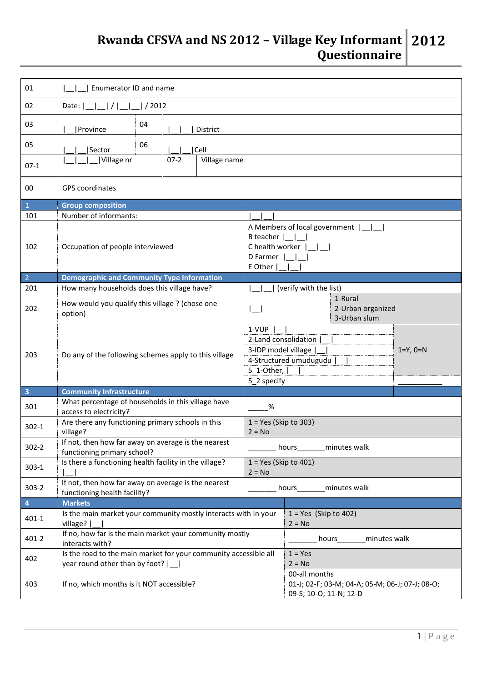## **Rwanda CFSVA and NS 2012 – Village Key Informant Questionnaire 2012**

| 01                      | Enumerator ID and name                                                                             |                                                                                                                                 |                                                                                            |  |  |  |  |  |  |  |
|-------------------------|----------------------------------------------------------------------------------------------------|---------------------------------------------------------------------------------------------------------------------------------|--------------------------------------------------------------------------------------------|--|--|--|--|--|--|--|
| 02                      | Date: $\left  \frac{1}{2} \right  / \left  \frac{1}{2012} \right $                                 |                                                                                                                                 |                                                                                            |  |  |  |  |  |  |  |
| 03                      | 04<br>Province<br>District                                                                         |                                                                                                                                 |                                                                                            |  |  |  |  |  |  |  |
| 05                      | 06<br>Cell<br>Sector                                                                               |                                                                                                                                 |                                                                                            |  |  |  |  |  |  |  |
| $07-1$                  | Village nr<br>$07-2$<br>Village name                                                               |                                                                                                                                 |                                                                                            |  |  |  |  |  |  |  |
| 00                      | <b>GPS</b> coordinates                                                                             |                                                                                                                                 |                                                                                            |  |  |  |  |  |  |  |
| $\mathbf{1}$            | <b>Group composition</b>                                                                           |                                                                                                                                 |                                                                                            |  |  |  |  |  |  |  |
| 101                     | Number of informants:                                                                              |                                                                                                                                 |                                                                                            |  |  |  |  |  |  |  |
| 102                     | Occupation of people interviewed                                                                   | A Members of local government    <br>B teacher $ \_ $<br>C health worker      <br>D Farmer  <br>E Other                         |                                                                                            |  |  |  |  |  |  |  |
| $\overline{2}$          | <b>Demographic and Community Type Information</b>                                                  |                                                                                                                                 |                                                                                            |  |  |  |  |  |  |  |
| 201                     | How many households does this village have?                                                        |                                                                                                                                 | (verify with the list)                                                                     |  |  |  |  |  |  |  |
| 202                     | How would you qualify this village ? (chose one<br>option)                                         | $\equiv$                                                                                                                        | 1-Rural<br>2-Urban organized<br>3-Urban slum                                               |  |  |  |  |  |  |  |
| 203                     | Do any of the following schemes apply to this village                                              | 1-VUP<br>2-Land consolidation<br>3-IDP model village<br>$1 = Y, 0 = N$<br>4-Structured umudugudu<br>5_1-Other,  <br>5_2 specify |                                                                                            |  |  |  |  |  |  |  |
| $\overline{\mathbf{3}}$ | <b>Community Infrastructure</b>                                                                    |                                                                                                                                 |                                                                                            |  |  |  |  |  |  |  |
| 301                     | What percentage of households in this village have<br>access to electricity?                       | %                                                                                                                               |                                                                                            |  |  |  |  |  |  |  |
| $302 - 1$               | Are there any functioning primary schools in this<br>village?                                      | $1 = Yes$ (Skip to 303)<br>$2 = No$                                                                                             |                                                                                            |  |  |  |  |  |  |  |
| $302 - 2$               | If not, then how far away on average is the nearest<br>functioning primary school?                 | hours__________ minutes walk                                                                                                    |                                                                                            |  |  |  |  |  |  |  |
| $303-1$                 | Is there a functioning health facility in the village?                                             | $1 = Yes$ (Skip to 401)<br>$2 = No$                                                                                             |                                                                                            |  |  |  |  |  |  |  |
| $303 - 2$               | If not, then how far away on average is the nearest<br>functioning health facility?                |                                                                                                                                 | hours _______ minutes walk                                                                 |  |  |  |  |  |  |  |
| $\overline{4}$          | <b>Markets</b>                                                                                     |                                                                                                                                 |                                                                                            |  |  |  |  |  |  |  |
| $401 - 1$               | Is the main market your community mostly interacts with in your<br>village?                        | $1 = Yes$ (Skip to 402)<br>$2 = No$                                                                                             |                                                                                            |  |  |  |  |  |  |  |
| $401 - 2$               | If no, how far is the main market your community mostly<br>interacts with?                         |                                                                                                                                 | hours minutes walk                                                                         |  |  |  |  |  |  |  |
| 402                     | Is the road to the main market for your community accessible all<br>year round other than by foot? |                                                                                                                                 | $1 = Yes$<br>$2 = No$                                                                      |  |  |  |  |  |  |  |
| 403                     | If no, which months is it NOT accessible?                                                          |                                                                                                                                 | 00-all months<br>01-J; 02-F; 03-M; 04-A; 05-M; 06-J; 07-J; 08-O;<br>09-S; 10-O; 11-N; 12-D |  |  |  |  |  |  |  |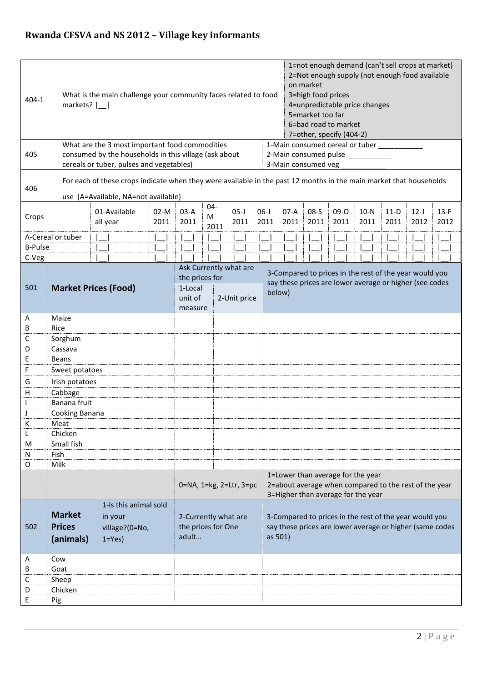| $404 - 1$                          |                                            | What is the main challenge your community faces related to food<br>markets? $ $ |                                                                                                         |                                                     |  |                         |                |  |                                                                                                                             |                                                                                                                    |                                                                                                                                  | 1=not enough demand (can't sell crops at market)<br>2=Not enough supply (not enough food available<br>on market<br>3=high food prices<br>4=unpredictable price changes<br>5=market too far<br>6=bad road to market<br>7=other, specify (404-2) |  |                |  |  |                  |  |                |                |                |                |  |
|------------------------------------|--------------------------------------------|---------------------------------------------------------------------------------|---------------------------------------------------------------------------------------------------------|-----------------------------------------------------|--|-------------------------|----------------|--|-----------------------------------------------------------------------------------------------------------------------------|--------------------------------------------------------------------------------------------------------------------|----------------------------------------------------------------------------------------------------------------------------------|------------------------------------------------------------------------------------------------------------------------------------------------------------------------------------------------------------------------------------------------|--|----------------|--|--|------------------|--|----------------|----------------|----------------|----------------|--|
| 405                                | cereals or tuber, pulses and vegetables)   |                                                                                 | What are the 3 most important food commodities<br>consumed by the households in this village (ask about |                                                     |  |                         |                |  | 1-Main consumed cereal or tuber<br>2-Main consumed pulse<br>3-Main consumed veg                                             |                                                                                                                    |                                                                                                                                  |                                                                                                                                                                                                                                                |  |                |  |  |                  |  |                |                |                |                |  |
| 406                                | use (A=Available, NA=not available)        |                                                                                 |                                                                                                         |                                                     |  |                         |                |  |                                                                                                                             | For each of these crops indicate when they were available in the past 12 months in the main market that households |                                                                                                                                  |                                                                                                                                                                                                                                                |  |                |  |  |                  |  |                |                |                |                |  |
| Crops                              | 01-Available<br>$02-M$<br>2011<br>all year |                                                                                 |                                                                                                         | $04 -$<br>$03-A$<br>M<br>2011<br>2011               |  |                         | $05-J$<br>2011 |  |                                                                                                                             | $06-J$                                                                                                             | 2011                                                                                                                             | $07-A$<br>2011                                                                                                                                                                                                                                 |  | $08-S$<br>2011 |  |  | $09 - 0$<br>2011 |  | $10-N$<br>2011 | $11-D$<br>2011 | $12-J$<br>2012 | $13-F$<br>2012 |  |
|                                    | A-Cereal or tuber                          |                                                                                 |                                                                                                         |                                                     |  |                         |                |  |                                                                                                                             |                                                                                                                    |                                                                                                                                  |                                                                                                                                                                                                                                                |  |                |  |  |                  |  |                |                |                |                |  |
| <b>B-Pulse</b>                     |                                            |                                                                                 |                                                                                                         |                                                     |  |                         |                |  |                                                                                                                             |                                                                                                                    |                                                                                                                                  |                                                                                                                                                                                                                                                |  |                |  |  |                  |  |                |                |                |                |  |
| C-Veg                              |                                            |                                                                                 |                                                                                                         |                                                     |  |                         |                |  |                                                                                                                             |                                                                                                                    |                                                                                                                                  |                                                                                                                                                                                                                                                |  |                |  |  |                  |  |                |                |                |                |  |
| <b>Market Prices (Food)</b><br>501 |                                            |                                                                                 | Ask Currently what are<br>the prices for<br>1-Local<br>unit of<br>2-Unit price<br>measure               |                                                     |  |                         |                |  | 3-Compared to prices in the rest of the year would you<br>say these prices are lower average or higher (see codes<br>below) |                                                                                                                    |                                                                                                                                  |                                                                                                                                                                                                                                                |  |                |  |  |                  |  |                |                |                |                |  |
| Α                                  | Maize                                      |                                                                                 |                                                                                                         |                                                     |  |                         |                |  |                                                                                                                             |                                                                                                                    |                                                                                                                                  |                                                                                                                                                                                                                                                |  |                |  |  |                  |  |                |                |                |                |  |
| В                                  | Rice                                       |                                                                                 |                                                                                                         |                                                     |  |                         |                |  |                                                                                                                             |                                                                                                                    |                                                                                                                                  |                                                                                                                                                                                                                                                |  |                |  |  |                  |  |                |                |                |                |  |
| С                                  | Sorghum                                    |                                                                                 |                                                                                                         |                                                     |  |                         |                |  |                                                                                                                             |                                                                                                                    |                                                                                                                                  |                                                                                                                                                                                                                                                |  |                |  |  |                  |  |                |                |                |                |  |
| D                                  | Cassava                                    |                                                                                 |                                                                                                         |                                                     |  |                         |                |  |                                                                                                                             |                                                                                                                    |                                                                                                                                  |                                                                                                                                                                                                                                                |  |                |  |  |                  |  |                |                |                |                |  |
| E                                  | <b>Beans</b>                               |                                                                                 |                                                                                                         |                                                     |  |                         |                |  |                                                                                                                             |                                                                                                                    |                                                                                                                                  |                                                                                                                                                                                                                                                |  |                |  |  |                  |  |                |                |                |                |  |
| F                                  | Sweet potatoes                             |                                                                                 |                                                                                                         |                                                     |  |                         |                |  |                                                                                                                             |                                                                                                                    |                                                                                                                                  |                                                                                                                                                                                                                                                |  |                |  |  |                  |  |                |                |                |                |  |
| G                                  |                                            | Irish potatoes                                                                  |                                                                                                         |                                                     |  |                         |                |  |                                                                                                                             |                                                                                                                    |                                                                                                                                  |                                                                                                                                                                                                                                                |  |                |  |  |                  |  |                |                |                |                |  |
| Н                                  | Cabbage                                    |                                                                                 |                                                                                                         |                                                     |  |                         |                |  |                                                                                                                             |                                                                                                                    |                                                                                                                                  |                                                                                                                                                                                                                                                |  |                |  |  |                  |  |                |                |                |                |  |
|                                    | Banana fruit                               |                                                                                 |                                                                                                         |                                                     |  |                         |                |  |                                                                                                                             |                                                                                                                    |                                                                                                                                  |                                                                                                                                                                                                                                                |  |                |  |  |                  |  |                |                |                |                |  |
| J                                  | Cooking Banana                             |                                                                                 |                                                                                                         |                                                     |  |                         |                |  |                                                                                                                             |                                                                                                                    |                                                                                                                                  |                                                                                                                                                                                                                                                |  |                |  |  |                  |  |                |                |                |                |  |
| K                                  | Meat                                       |                                                                                 |                                                                                                         |                                                     |  |                         |                |  |                                                                                                                             |                                                                                                                    |                                                                                                                                  |                                                                                                                                                                                                                                                |  |                |  |  |                  |  |                |                |                |                |  |
| L                                  | Chicken                                    |                                                                                 |                                                                                                         |                                                     |  |                         |                |  |                                                                                                                             |                                                                                                                    |                                                                                                                                  |                                                                                                                                                                                                                                                |  |                |  |  |                  |  |                |                |                |                |  |
| M                                  | Small fish                                 |                                                                                 |                                                                                                         |                                                     |  |                         |                |  |                                                                                                                             |                                                                                                                    |                                                                                                                                  |                                                                                                                                                                                                                                                |  |                |  |  |                  |  |                |                |                |                |  |
| Ν                                  | Fish                                       |                                                                                 |                                                                                                         |                                                     |  |                         |                |  |                                                                                                                             |                                                                                                                    |                                                                                                                                  |                                                                                                                                                                                                                                                |  |                |  |  |                  |  |                |                |                |                |  |
| O                                  | Milk                                       |                                                                                 |                                                                                                         |                                                     |  |                         |                |  |                                                                                                                             |                                                                                                                    |                                                                                                                                  |                                                                                                                                                                                                                                                |  |                |  |  |                  |  |                |                |                |                |  |
|                                    |                                            |                                                                                 |                                                                                                         |                                                     |  | 0=NA, 1=kg, 2=Ltr, 3=pc |                |  |                                                                                                                             |                                                                                                                    | 1=Lower than average for the year<br>2=about average when compared to the rest of the year<br>3=Higher than average for the year |                                                                                                                                                                                                                                                |  |                |  |  |                  |  |                |                |                |                |  |
|                                    |                                            | 1-Is this animal sold                                                           |                                                                                                         |                                                     |  |                         |                |  |                                                                                                                             |                                                                                                                    |                                                                                                                                  |                                                                                                                                                                                                                                                |  |                |  |  |                  |  |                |                |                |                |  |
|                                    | <b>Market</b>                              | in your                                                                         |                                                                                                         | 2-Currently what are<br>the prices for One<br>adult |  |                         |                |  |                                                                                                                             | 3-Compared to prices in the rest of the year would you                                                             |                                                                                                                                  |                                                                                                                                                                                                                                                |  |                |  |  |                  |  |                |                |                |                |  |
| 502                                | <b>Prices</b>                              | village?(0=No,                                                                  |                                                                                                         |                                                     |  |                         |                |  | say these prices are lower average or higher (same codes<br>as 501)                                                         |                                                                                                                    |                                                                                                                                  |                                                                                                                                                                                                                                                |  |                |  |  |                  |  |                |                |                |                |  |
|                                    | (animals)                                  | $1 = Yes$                                                                       |                                                                                                         |                                                     |  |                         |                |  |                                                                                                                             |                                                                                                                    |                                                                                                                                  |                                                                                                                                                                                                                                                |  |                |  |  |                  |  |                |                |                |                |  |
|                                    |                                            |                                                                                 |                                                                                                         |                                                     |  |                         |                |  |                                                                                                                             |                                                                                                                    |                                                                                                                                  |                                                                                                                                                                                                                                                |  |                |  |  |                  |  |                |                |                |                |  |
| A<br>В                             | Cow<br>Goat                                |                                                                                 |                                                                                                         |                                                     |  |                         |                |  |                                                                                                                             |                                                                                                                    |                                                                                                                                  |                                                                                                                                                                                                                                                |  |                |  |  |                  |  |                |                |                |                |  |
| С                                  | Sheep                                      |                                                                                 |                                                                                                         |                                                     |  |                         |                |  |                                                                                                                             |                                                                                                                    |                                                                                                                                  |                                                                                                                                                                                                                                                |  |                |  |  |                  |  |                |                |                |                |  |
| D                                  | Chicken                                    |                                                                                 |                                                                                                         |                                                     |  |                         |                |  |                                                                                                                             |                                                                                                                    |                                                                                                                                  |                                                                                                                                                                                                                                                |  |                |  |  |                  |  |                |                |                |                |  |
| E                                  | Pig                                        |                                                                                 |                                                                                                         |                                                     |  |                         |                |  |                                                                                                                             |                                                                                                                    |                                                                                                                                  |                                                                                                                                                                                                                                                |  |                |  |  |                  |  |                |                |                |                |  |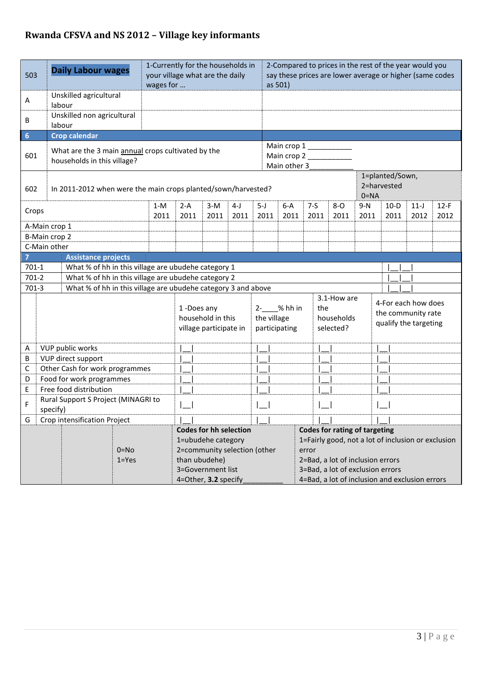## **Rwanda CFSVA and NS 2012 – Village key informants**

| 503                         | <b>Daily Labour wages</b>                                                         |                                                               | 1-Currently for the households in<br>your village what are the daily<br>wages for |                                                     |                                                           |                                            |               |                                                                      |                                                                                             | 2-Compared to prices in the rest of the year would you<br>say these prices are lower average or higher (same codes<br>as 501) |               |               |                                                                    |                                                |                |  |  |  |  |
|-----------------------------|-----------------------------------------------------------------------------------|---------------------------------------------------------------|-----------------------------------------------------------------------------------|-----------------------------------------------------|-----------------------------------------------------------|--------------------------------------------|---------------|----------------------------------------------------------------------|---------------------------------------------------------------------------------------------|-------------------------------------------------------------------------------------------------------------------------------|---------------|---------------|--------------------------------------------------------------------|------------------------------------------------|----------------|--|--|--|--|
| Α                           | Unskilled agricultural<br>labour                                                  |                                                               |                                                                                   |                                                     |                                                           |                                            |               |                                                                      |                                                                                             |                                                                                                                               |               |               |                                                                    |                                                |                |  |  |  |  |
| $\sf B$                     | Unskilled non agricultural<br>labour                                              |                                                               |                                                                                   |                                                     |                                                           |                                            |               |                                                                      |                                                                                             |                                                                                                                               |               |               |                                                                    |                                                |                |  |  |  |  |
| $6\phantom{1}6$             | <b>Crop calendar</b>                                                              |                                                               |                                                                                   |                                                     |                                                           |                                            |               |                                                                      |                                                                                             |                                                                                                                               |               |               |                                                                    |                                                |                |  |  |  |  |
| 601                         | What are the 3 main annual crops cultivated by the<br>households in this village? |                                                               |                                                                                   |                                                     |                                                           | Main crop 1<br>Main crop 2<br>Main other 3 |               |                                                                      |                                                                                             |                                                                                                                               |               |               |                                                                    |                                                |                |  |  |  |  |
| 602                         | In 2011-2012 when were the main crops planted/sown/harvested?                     |                                                               |                                                                                   |                                                     |                                                           |                                            |               |                                                                      |                                                                                             | 1=planted/Sown,<br>2=harvested<br>$0 = NA$                                                                                    |               |               |                                                                    |                                                |                |  |  |  |  |
| Crops                       | $1-M$<br>2011                                                                     |                                                               |                                                                                   |                                                     | $3-M$<br>2011                                             | $4-J$<br>2011                              | $5-J$<br>2011 | $6-A$<br>2011                                                        | $7-5$<br>2011                                                                               |                                                                                                                               | $8-0$<br>2011 | $9-N$<br>2011 | $10-D$<br>2011                                                     | $11-J$<br>2012                                 | $12-F$<br>2012 |  |  |  |  |
|                             | A-Main crop 1                                                                     |                                                               |                                                                                   |                                                     |                                                           |                                            |               |                                                                      |                                                                                             |                                                                                                                               |               |               |                                                                    |                                                |                |  |  |  |  |
|                             | B-Main crop 2                                                                     |                                                               |                                                                                   |                                                     |                                                           |                                            |               |                                                                      |                                                                                             |                                                                                                                               |               |               |                                                                    |                                                |                |  |  |  |  |
|                             | C-Main other                                                                      |                                                               |                                                                                   |                                                     |                                                           |                                            |               |                                                                      |                                                                                             |                                                                                                                               |               |               |                                                                    |                                                |                |  |  |  |  |
| $\overline{7}$              | <b>Assistance projects</b>                                                        |                                                               |                                                                                   |                                                     |                                                           |                                            |               |                                                                      |                                                                                             |                                                                                                                               |               |               |                                                                    |                                                |                |  |  |  |  |
| $701-1$                     |                                                                                   |                                                               |                                                                                   | What % of hh in this village are ubudehe category 1 |                                                           |                                            |               |                                                                      |                                                                                             |                                                                                                                               |               |               |                                                                    |                                                |                |  |  |  |  |
| $701-2$                     |                                                                                   |                                                               |                                                                                   | What % of hh in this village are ubudehe category 2 |                                                           |                                            |               |                                                                      |                                                                                             |                                                                                                                               |               |               |                                                                    |                                                |                |  |  |  |  |
| $701-3$                     |                                                                                   | What % of hh in this village are ubudehe category 3 and above |                                                                                   |                                                     |                                                           |                                            |               |                                                                      |                                                                                             |                                                                                                                               |               |               |                                                                    |                                                |                |  |  |  |  |
|                             |                                                                                   |                                                               |                                                                                   |                                                     | 1-Does any<br>household in this<br>village participate in |                                            |               |                                                                      | 3.1-How are<br>2- % hh in<br>the<br>the village<br>households<br>participating<br>selected? |                                                                                                                               |               |               | 4-For each how does<br>the community rate<br>qualify the targeting |                                                |                |  |  |  |  |
| Α                           | VUP public works                                                                  |                                                               |                                                                                   |                                                     |                                                           |                                            |               |                                                                      |                                                                                             |                                                                                                                               |               |               |                                                                    |                                                |                |  |  |  |  |
| В                           | VUP direct support                                                                |                                                               |                                                                                   |                                                     |                                                           |                                            |               |                                                                      |                                                                                             |                                                                                                                               |               |               |                                                                    |                                                |                |  |  |  |  |
| С                           | Other Cash for work programmes                                                    |                                                               |                                                                                   |                                                     |                                                           |                                            |               |                                                                      |                                                                                             |                                                                                                                               |               |               |                                                                    |                                                |                |  |  |  |  |
| D                           | Food for work programmes                                                          |                                                               |                                                                                   |                                                     |                                                           |                                            |               |                                                                      |                                                                                             |                                                                                                                               |               |               |                                                                    |                                                |                |  |  |  |  |
| Free food distribution<br>E |                                                                                   |                                                               |                                                                                   |                                                     |                                                           |                                            |               |                                                                      |                                                                                             |                                                                                                                               |               |               |                                                                    |                                                |                |  |  |  |  |
| F                           | Rural Support S Project (MINAGRI to<br>specify)                                   |                                                               |                                                                                   |                                                     |                                                           |                                            |               |                                                                      |                                                                                             |                                                                                                                               |               |               |                                                                    |                                                |                |  |  |  |  |
| G                           | Crop intensification Project                                                      |                                                               |                                                                                   |                                                     | $\lfloor$                                                 |                                            |               | $\lfloor \rfloor$                                                    |                                                                                             | $\mathbf{I}$                                                                                                                  |               |               |                                                                    |                                                |                |  |  |  |  |
|                             |                                                                                   | <b>Codes for hh selection</b>                                 |                                                                                   |                                                     |                                                           |                                            |               | <b>Codes for rating of targeting</b>                                 |                                                                                             |                                                                                                                               |               |               |                                                                    |                                                |                |  |  |  |  |
|                             | 1=ubudehe category<br>2=community selection (other<br>$0 = No$                    |                                                               |                                                                                   |                                                     |                                                           |                                            |               |                                                                      | 1=Fairly good, not a lot of inclusion or exclusion                                          |                                                                                                                               |               |               |                                                                    |                                                |                |  |  |  |  |
|                             |                                                                                   |                                                               |                                                                                   |                                                     |                                                           |                                            | error         |                                                                      |                                                                                             |                                                                                                                               |               |               |                                                                    |                                                |                |  |  |  |  |
|                             | $1 = Yes$<br>than ubudehe)<br>3=Government list                                   |                                                               |                                                                                   |                                                     |                                                           |                                            |               | 2=Bad, a lot of inclusion errors<br>3=Bad, a lot of exclusion errors |                                                                                             |                                                                                                                               |               |               |                                                                    |                                                |                |  |  |  |  |
|                             |                                                                                   |                                                               | 4=Other, 3.2 specify                                                              |                                                     |                                                           |                                            |               |                                                                      |                                                                                             |                                                                                                                               |               |               |                                                                    | 4=Bad, a lot of inclusion and exclusion errors |                |  |  |  |  |